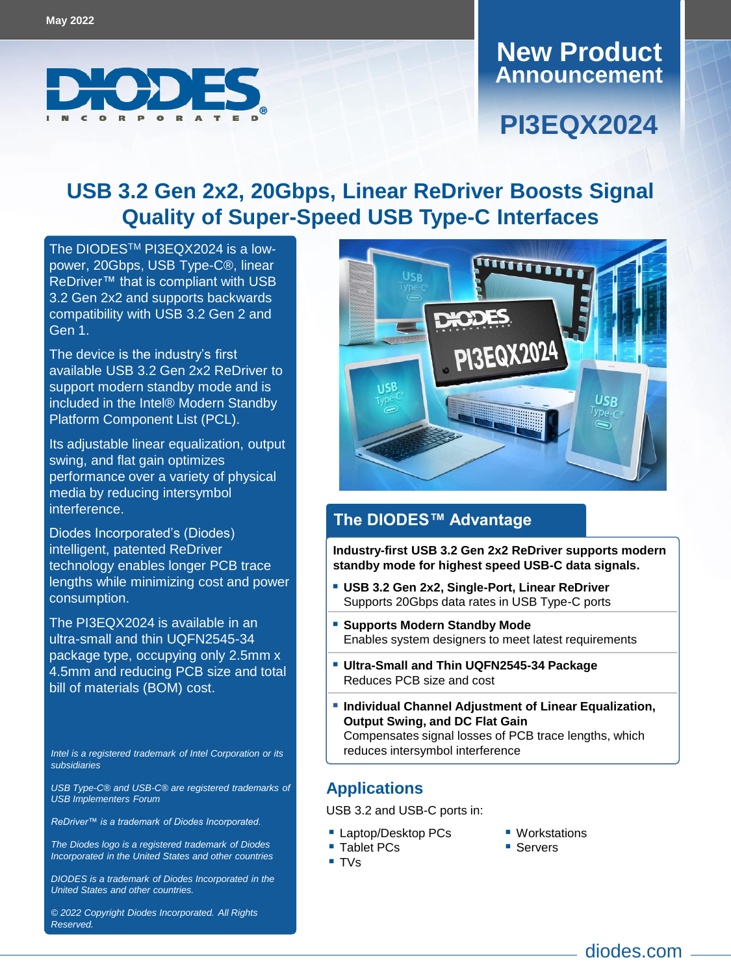

#### **Announcement New Product**

## **PI3EQX2024**

### **USB 3.2 Gen 2x2, 20Gbps, Linear ReDriver Boosts Signal Quality of Super-Speed USB Type-C Interfaces**

The DIODES<sup>™</sup> [PI3EQX2024](https://www.diodes.com/part/PI3EQX2024) is a lowpower, 20Gbps, USB Type-C®, linear ReDriver™ that is compliant with USB 3.2 Gen 2x2 and supports backwards compatibility with USB 3.2 Gen 2 and Gen 1.

The device is the industry's first available USB 3.2 Gen 2x2 ReDriver to support modern standby mode and is included in the Intel® Modern Standby Platform Component List (PCL).

Its adjustable linear equalization, output swing, and flat gain optimizes performance over a variety of physical media by reducing intersymbol interference.

Diodes Incorporated's (Diodes) intelligent, patented ReDriver technology enables longer PCB trace lengths while minimizing cost and power consumption.

The PI3EQX2024 is available in an ultra-small and thin UQFN2545-34 package type, occupying only 2.5mm x 4.5mm and reducing PCB size and total bill of materials (BOM) cost.

*Intel is a registered trademark of Intel Corporation or its subsidiaries* 

*USB Type-C® and USB-C® are registered trademarks of USB Implementers Forum*

*ReDriver™ is a trademark of Diodes Incorporated.*

*The Diodes logo is a registered trademark of Diodes Incorporated in the United States and other countries*

*DIODES is a trademark of Diodes Incorporated in the United States and other countries.*

*© 2022 Copyright Diodes Incorporated. All Rights Reserved.*



#### **The DIODES™ Advantage**

**Industry-first USB 3.2 Gen 2x2 ReDriver supports modern standby mode for highest speed USB-C data signals.**

- **USB 3.2 Gen 2x2, Single-Port, Linear ReDriver** Supports 20Gbps data rates in USB Type-C ports
- **Supports Modern Standby Mode** Enables system designers to meet latest requirements
- **Ultra-Small and Thin UQFN2545-34 Package** Reduces PCB size and cost
- **Individual Channel Adjustment of Linear Equalization, Output Swing, and DC Flat Gain** Compensates signal losses of PCB trace lengths, which reduces intersymbol interference

#### **Applications**

USB 3.2 and USB-C ports in:

- **Laptop/Desktop PCs** ■ Tablet PCs
- Workstations
- Servers

■ TVs

- 
- diodes.com